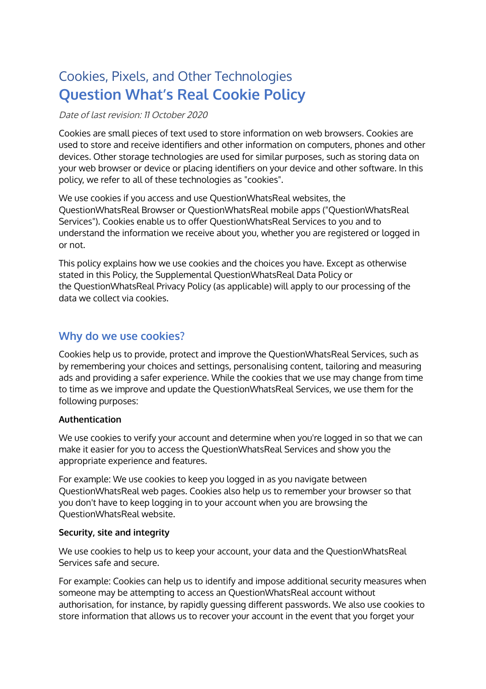# Cookies, Pixels, and Other Technologies **Question What's Real Cookie Policy**

#### Date of last revision: 11 October 2020

Cookies are small pieces of text used to store information on web browsers. Cookies are used to store and receive identifiers and other information on computers, phones and other devices. Other storage technologies are used for similar purposes, such as storing data on your web browser or device or placing identifiers on your device and other software. In this policy, we refer to all of these technologies as "cookies".

We use cookies if you access and use QuestionWhatsReal websites, the QuestionWhatsReal Browser or QuestionWhatsReal mobile apps ("QuestionWhatsReal Services"). Cookies enable us to offer QuestionWhatsReal Services to you and to understand the information we receive about you, whether you are registered or logged in or not.

This policy explains how we use cookies and the choices you have. Except as otherwise stated in this Policy, the Supplemental QuestionWhatsReal Data Policy or the QuestionWhatsReal Privacy Policy (as applicable) will apply to our processing of the data we collect via cookies.

## **Why do we use cookies?**

Cookies help us to provide, protect and improve the QuestionWhatsReal Services, such as by remembering your choices and settings, personalising content, tailoring and measuring ads and providing a safer experience. While the cookies that we use may change from time to time as we improve and update the QuestionWhatsReal Services, we use them for the following purposes:

#### **Authentication**

We use cookies to verify your account and determine when you're logged in so that we can make it easier for you to access the QuestionWhatsReal Services and show you the appropriate experience and features.

For example: We use cookies to keep you logged in as you navigate between QuestionWhatsReal web pages. Cookies also help us to remember your browser so that you don't have to keep logging in to your account when you are browsing the QuestionWhatsReal website.

#### **Security, site and integrity**

We use cookies to help us to keep your account, your data and the QuestionWhatsReal Services safe and secure.

For example: Cookies can help us to identify and impose additional security measures when someone may be attempting to access an QuestionWhatsReal account without authorisation, for instance, by rapidly guessing different passwords. We also use cookies to store information that allows us to recover your account in the event that you forget your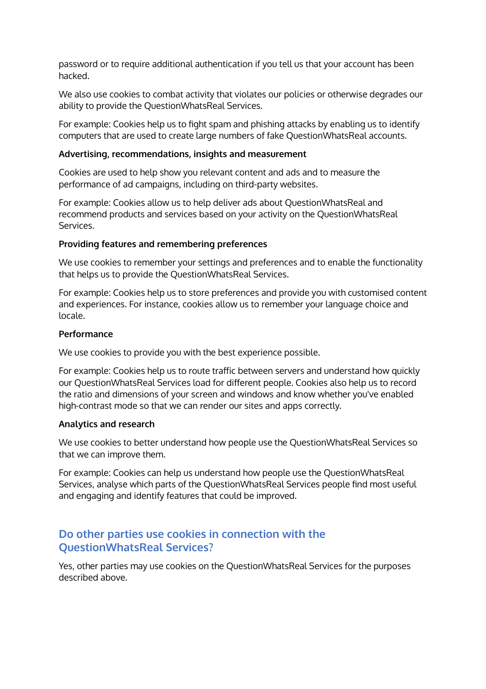password or to require additional authentication if you tell us that your account has been hacked.

We also use cookies to combat activity that violates our policies or otherwise degrades our ability to provide the QuestionWhatsReal Services.

For example: Cookies help us to fight spam and phishing attacks by enabling us to identify computers that are used to create large numbers of fake QuestionWhatsReal accounts.

#### **Advertising, recommendations, insights and measurement**

Cookies are used to help show you relevant content and ads and to measure the performance of ad campaigns, including on third-party websites.

For example: Cookies allow us to help deliver ads about QuestionWhatsReal and recommend products and services based on your activity on the QuestionWhatsReal Services.

#### **Providing features and remembering preferences**

We use cookies to remember your settings and preferences and to enable the functionality that helps us to provide the QuestionWhatsReal Services.

For example: Cookies help us to store preferences and provide you with customised content and experiences. For instance, cookies allow us to remember your language choice and locale.

#### **Performance**

We use cookies to provide you with the best experience possible.

For example: Cookies help us to route traffic between servers and understand how quickly our QuestionWhatsReal Services load for different people. Cookies also help us to record the ratio and dimensions of your screen and windows and know whether you've enabled high-contrast mode so that we can render our sites and apps correctly.

#### **Analytics and research**

We use cookies to better understand how people use the QuestionWhatsReal Services so that we can improve them.

For example: Cookies can help us understand how people use the QuestionWhatsReal Services, analyse which parts of the QuestionWhatsReal Services people find most useful and engaging and identify features that could be improved.

## **Do other parties use cookies in connection with the QuestionWhatsReal Services?**

Yes, other parties may use cookies on the QuestionWhatsReal Services for the purposes described above.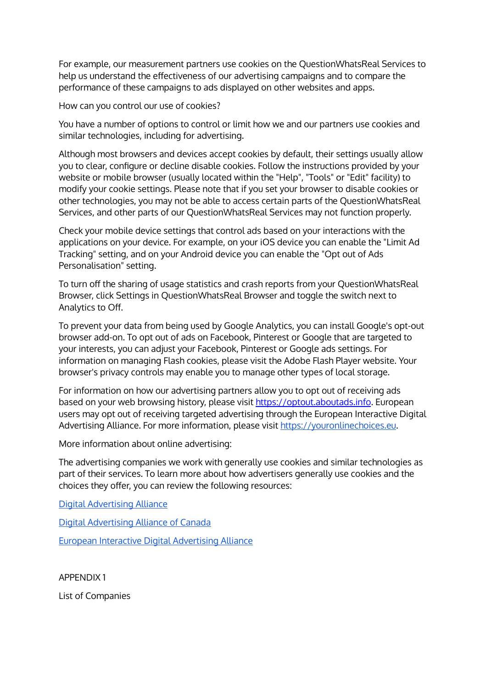For example, our measurement partners use cookies on the QuestionWhatsReal Services to help us understand the effectiveness of our advertising campaigns and to compare the performance of these campaigns to ads displayed on other websites and apps.

How can you control our use of cookies?

You have a number of options to control or limit how we and our partners use cookies and similar technologies, including for advertising.

Although most browsers and devices accept cookies by default, their settings usually allow you to clear, configure or decline disable cookies. Follow the instructions provided by your website or mobile browser (usually located within the "Help", "Tools" or "Edit" facility) to modify your cookie settings. Please note that if you set your browser to disable cookies or other technologies, you may not be able to access certain parts of the QuestionWhatsReal Services, and other parts of our QuestionWhatsReal Services may not function properly.

Check your mobile device settings that control ads based on your interactions with the applications on your device. For example, on your iOS device you can enable the "Limit Ad Tracking" setting, and on your Android device you can enable the "Opt out of Ads Personalisation" setting.

To turn off the sharing of usage statistics and crash reports from your QuestionWhatsReal Browser, click Settings in QuestionWhatsReal Browser and toggle the switch next to Analytics to Off.

To prevent your data from being used by Google Analytics, you can install Google's opt-out browser add-on. To opt out of ads on Facebook, Pinterest or Google that are targeted to your interests, you can adjust your Facebook, Pinterest or Google ads settings. For information on managing Flash cookies, please visit the Adobe Flash Player website. Your browser's privacy controls may enable you to manage other types of local storage.

For information on how our advertising partners allow you to opt out of receiving ads based on your web browsing history, please visit [https://optout.aboutads.info](https://optout.aboutads.info/). European users may opt out of receiving targeted advertising through the European Interactive Digital Advertising Alliance. For more information, please visit [https://youronlinechoices.eu](https://youronlinechoices.eu/).

More information about online advertising:

The advertising companies we work with generally use cookies and similar technologies as part of their services. To learn more about how advertisers generally use cookies and the choices they offer, you can review the following resources:

Digital [Advertising](https://optout.aboutads.info/) Alliance

Digital [Advertising](https://youradchoices.ca/) Alliance of Canada

European Interactive Digital [Advertising](https://www.youronlinechoices.eu/) Alliance

APPENDIX 1

List of Companies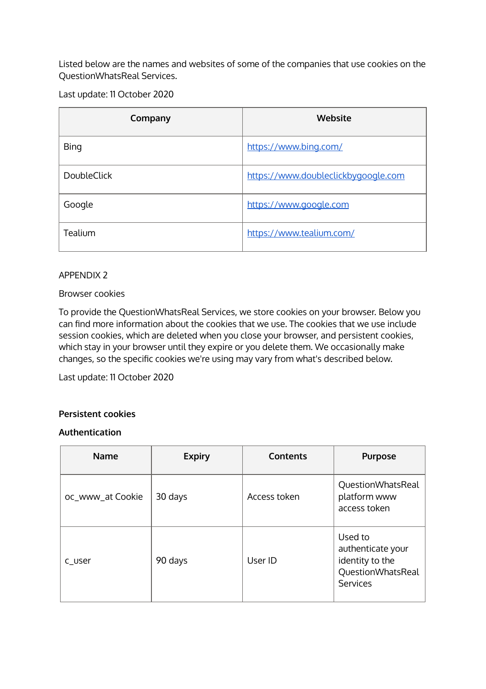Listed below are the names and websites of some of the companies that use cookies on the QuestionWhatsReal Services.

Last update: 11 October 2020

| Company            | Website                             |
|--------------------|-------------------------------------|
| <b>Bing</b>        | https://www.bing.com/               |
| <b>DoubleClick</b> | https://www.doubleclickbygoogle.com |
| Google             | https://www.google.com              |
| Tealium            | https://www.tealium.com/            |

#### APPENDIX 2

#### Browser cookies

To provide the QuestionWhatsReal Services, we store cookies on your browser. Below you can find more information about the cookies that we use. The cookies that we use include session cookies, which are deleted when you close your browser, and persistent cookies, which stay in your browser until they expire or you delete them. We occasionally make changes, so the specific cookies we're using may vary from what's described below.

Last update: 11 October 2020

#### **Persistent cookies**

#### **Authentication**

| <b>Name</b>      | <b>Expiry</b> | Contents     | <b>Purpose</b>                                                                          |
|------------------|---------------|--------------|-----------------------------------------------------------------------------------------|
| oc_www_at Cookie | 30 days       | Access token | QuestionWhatsReal<br>platform www<br>access token                                       |
| c user           | 90 days       | User ID      | Used to<br>authenticate your<br>identity to the<br>QuestionWhatsReal<br><b>Services</b> |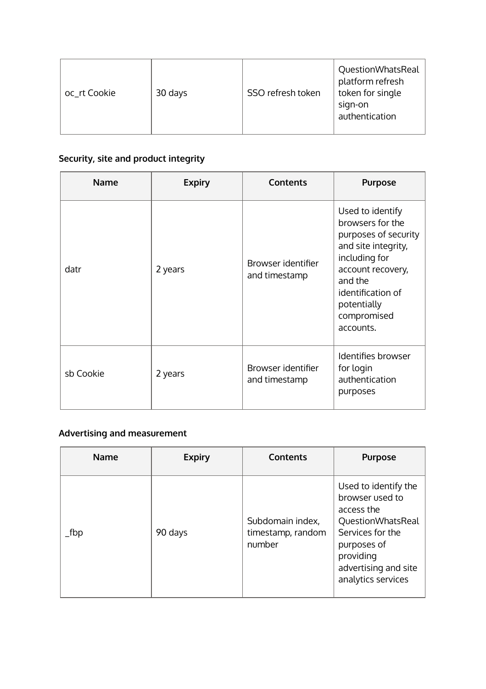| oc_rt Cookie<br>30 days | SSO refresh token | QuestionWhatsReal<br>platform refresh<br>token for single<br>sign-on<br>authentication |
|-------------------------|-------------------|----------------------------------------------------------------------------------------|
|-------------------------|-------------------|----------------------------------------------------------------------------------------|

# **Security, site and product integrity**

| <b>Name</b> | <b>Expiry</b> | <b>Contents</b>                     | <b>Purpose</b>                                                                                                                                                                                       |
|-------------|---------------|-------------------------------------|------------------------------------------------------------------------------------------------------------------------------------------------------------------------------------------------------|
| datr        | 2 years       | Browser identifier<br>and timestamp | Used to identify<br>browsers for the<br>purposes of security<br>and site integrity,<br>including for<br>account recovery,<br>and the<br>identification of<br>potentially<br>compromised<br>accounts. |
| sb Cookie   | 2 years       | Browser identifier<br>and timestamp | Identifies browser<br>for login<br>authentication<br>purposes                                                                                                                                        |

# **Advertising and measurement**

| <b>Name</b> | <b>Expiry</b> | Contents                                        | <b>Purpose</b>                                                                                                                                                           |
|-------------|---------------|-------------------------------------------------|--------------------------------------------------------------------------------------------------------------------------------------------------------------------------|
| _fbp        | 90 days       | Subdomain index,<br>timestamp, random<br>number | Used to identify the<br>browser used to<br>access the<br>QuestionWhatsReal<br>Services for the<br>purposes of<br>providing<br>advertising and site<br>analytics services |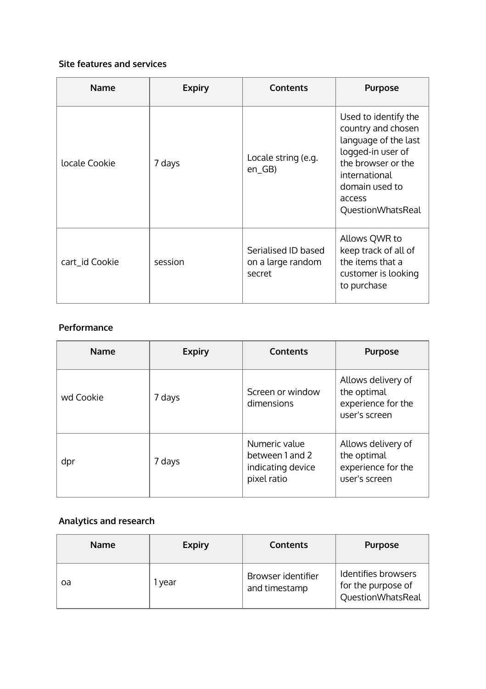## **Site features and services**

| <b>Name</b>    | <b>Expiry</b> | <b>Contents</b>                                    | <b>Purpose</b>                                                                                                                                                                  |
|----------------|---------------|----------------------------------------------------|---------------------------------------------------------------------------------------------------------------------------------------------------------------------------------|
| locale Cookie  | 7 days        | Locale string (e.g.<br>$en_GB$                     | Used to identify the<br>country and chosen<br>language of the last<br>logged-in user of<br>the browser or the<br>international<br>domain used to<br>access<br>QuestionWhatsReal |
| cart_id Cookie | session       | Serialised ID based<br>on a large random<br>secret | Allows QWR to<br>keep track of all of<br>the items that a<br>customer is looking<br>to purchase                                                                                 |

#### **Performance**

| <b>Name</b> | <b>Expiry</b> | <b>Contents</b>                                                      | <b>Purpose</b>                                                           |
|-------------|---------------|----------------------------------------------------------------------|--------------------------------------------------------------------------|
| wd Cookie   | 7 days        | Screen or window<br>dimensions                                       | Allows delivery of<br>the optimal<br>experience for the<br>user's screen |
| dpr         | 7 days        | Numeric value<br>between 1 and 2<br>indicating device<br>pixel ratio | Allows delivery of<br>the optimal<br>experience for the<br>user's screen |

# **Analytics and research**

| <b>Name</b> | <b>Expiry</b> | <b>Contents</b>                     | <b>Purpose</b>                                                 |
|-------------|---------------|-------------------------------------|----------------------------------------------------------------|
| oa          | vear          | Browser identifier<br>and timestamp | Identifies browsers<br>for the purpose of<br>QuestionWhatsReal |